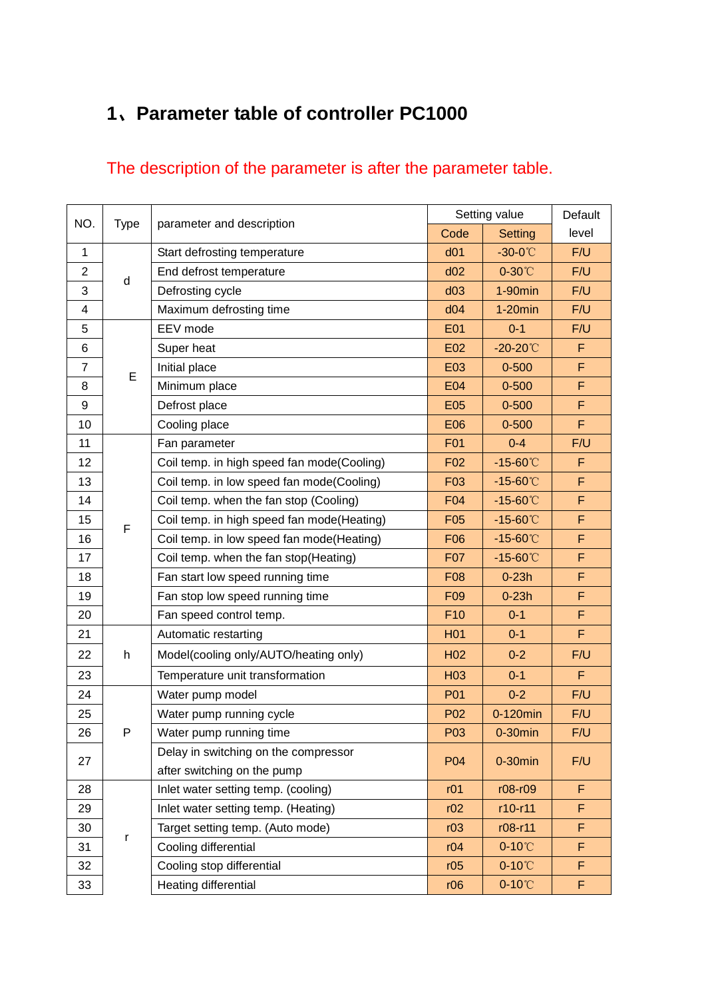# 、**Parameter table of controller PC1000**

# The description of the parameter is after the parameter table.

| NO.            | Type | parameter and description                  | Setting value   |                      | Default |
|----------------|------|--------------------------------------------|-----------------|----------------------|---------|
|                |      |                                            | Code            | <b>Setting</b>       | level   |
| $\mathbf{1}$   | d    | Start defrosting temperature               | d <sub>01</sub> | $-30-0$ °C           | F/U     |
| $\overline{2}$ |      | End defrost temperature                    | d02             | $0-30^{\circ}$ C     | F/U     |
| 3              |      | Defrosting cycle                           | d03             | $1-90$ min           | F/U     |
| 4              |      | Maximum defrosting time                    | d04             | $1-20$ min           | F/U     |
| 5              | E    | EEV mode                                   | <b>E01</b>      | $0 - 1$              | F/U     |
| 6              |      | Super heat                                 | E02             | $-20-20^{\circ}$ C   | F       |
| $\overline{7}$ |      | Initial place                              | E03             | $0 - 500$            | F       |
| 8              |      | Minimum place                              | <b>E04</b>      | $0 - 500$            | F       |
| 9              |      | Defrost place                              | <b>E05</b>      | $0 - 500$            | F       |
| 10             |      | Cooling place                              | <b>E06</b>      | $0 - 500$            | F       |
| 11             |      | Fan parameter                              | <b>F01</b>      | $0 - 4$              | F/U     |
| 12             |      | Coil temp. in high speed fan mode(Cooling) | F <sub>02</sub> | $-15 - 60^{\circ}$ C | F       |
| 13             |      | Coil temp. in low speed fan mode(Cooling)  | F03             | $-15 - 60^{\circ}$ C | F       |
| 14             |      | Coil temp. when the fan stop (Cooling)     | F04             | $-15 - 60^{\circ}$ C | F       |
| 15             | F    | Coil temp. in high speed fan mode(Heating) | F <sub>05</sub> | $-15 - 60^{\circ}$ C | F       |
| 16             |      | Coil temp. in low speed fan mode(Heating)  | F06             | $-15 - 60^{\circ}$ C | F       |
| 17             |      | Coil temp. when the fan stop(Heating)      | F07             | $-15 - 60^{\circ}$ C | F       |
| 18             |      | Fan start low speed running time           | F08             | $0-23h$              | F       |
| 19             |      | Fan stop low speed running time            | F <sub>09</sub> | $0-23h$              | F       |
| 20             |      | Fan speed control temp.                    | F <sub>10</sub> | $0 - 1$              | F       |
| 21             |      | Automatic restarting                       | H <sub>01</sub> | $0 - 1$              | F       |
| 22             | h    | Model(cooling only/AUTO/heating only)      | H <sub>02</sub> | $0 - 2$              | F/U     |
| 23             |      | Temperature unit transformation            | H <sub>03</sub> | $0 - 1$              | F       |
| 24             |      | Water pump model                           | P01             | $0 - 2$              | F/U     |
| 25             |      | Water pump running cycle                   | P <sub>02</sub> | 0-120min             | F/U     |
| 26             | P    | Water pump running time                    | P03             | $0-30$ min           | F/U     |
| 27             |      | Delay in switching on the compressor       | P04             | $0-30$ min           | F/U     |
|                |      | after switching on the pump                |                 |                      |         |
| 28             | r    | Inlet water setting temp. (cooling)        | r01             | r08-r09              | F       |
| 29             |      | Inlet water setting temp. (Heating)        | r02             | r10-r11              | F       |
| 30             |      | Target setting temp. (Auto mode)           | r03             | r08-r11              | F       |
| 31             |      | Cooling differential                       | r04             | $0-10^{\circ}$ C     | F       |
| 32             |      | Cooling stop differential                  | r05             | $0-10^{\circ}$ C     | F       |
| 33             |      | Heating differential                       | r06             | $0-10^{\circ}$ C     | F       |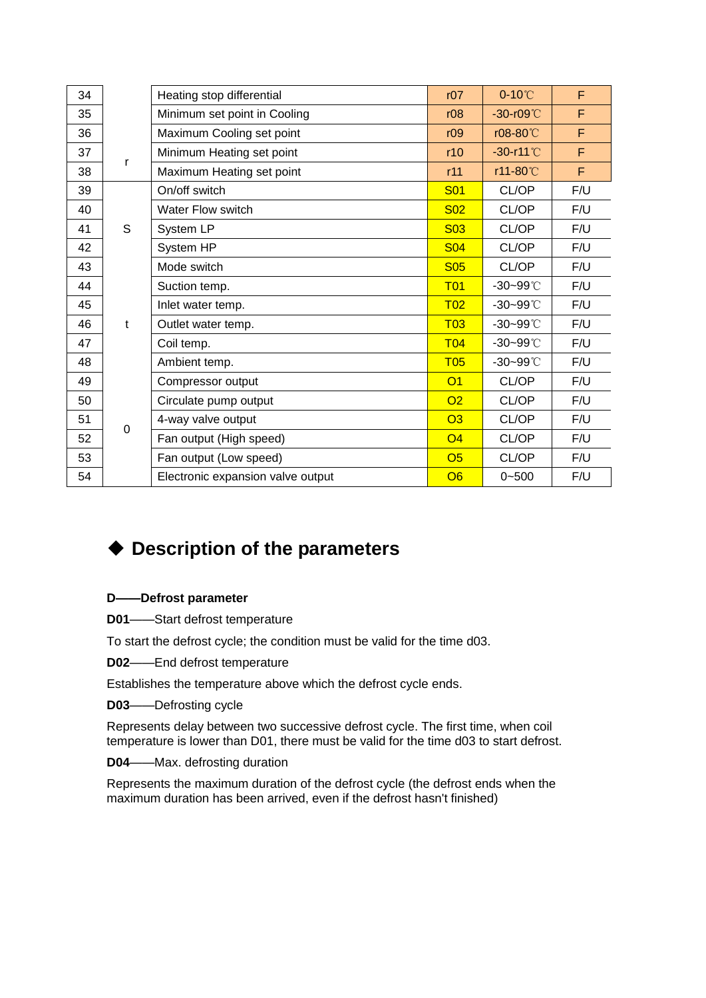| 34 |             | Heating stop differential         | r07             | $0-10^{\circ}$ C     | F   |
|----|-------------|-----------------------------------|-----------------|----------------------|-----|
| 35 |             | Minimum set point in Cooling      | r08             | $-30-109^{\circ}$    | F   |
| 36 |             | Maximum Cooling set point         | r09             | r08-80°C             | F   |
| 37 |             | Minimum Heating set point         | r10             | $-30-11^{\circ}$     | F   |
| 38 | r           | Maximum Heating set point         | r11             | r11-80°C             | F   |
| 39 |             | On/off switch                     | <b>S01</b>      | CL/OP                | F/U |
| 40 |             | <b>Water Flow switch</b>          | <b>S02</b>      | CL/OP                | F/U |
| 41 | S           | System LP                         | <b>S03</b>      | CL/OP                | F/U |
| 42 |             | System HP                         | <b>S04</b>      | CL/OP                | F/U |
| 43 |             | Mode switch                       | <b>S05</b>      | CL/OP                | F/U |
| 44 |             | Suction temp.                     | T <sub>01</sub> | $-30 - 99^{\circ}$ C | F/U |
| 45 |             | Inlet water temp.                 | T <sub>02</sub> | $-30 - 99^{\circ}$ C | F/U |
| 46 | $\mathbf t$ | Outlet water temp.                | T <sub>03</sub> | -30~99°C             | F/U |
| 47 |             | Coil temp.                        | T <sub>04</sub> | $-30 - 99^{\circ}$ C | F/U |
| 48 |             | Ambient temp.                     | T <sub>05</sub> | $-30 - 99^{\circ}$ C | F/U |
| 49 |             | Compressor output                 | O <sub>1</sub>  | CL/OP                | F/U |
| 50 |             | Circulate pump output             | O <sub>2</sub>  | CL/OP                | F/U |
| 51 | $\mathbf 0$ | 4-way valve output                | O3              | CL/OP                | F/U |
| 52 |             | Fan output (High speed)           | O <sub>4</sub>  | CL/OP                | F/U |
| 53 |             | Fan output (Low speed)            | O <sub>5</sub>  | CL/OP                | F/U |
| 54 |             | Electronic expansion valve output | O6              | $0 - 500$            | F/U |

## **Description of the parameters**

## **D——Defrost parameter**

**D01**——Start defrost temperature

To start the defrost cycle; the condition must be valid for the time d03.

**D02**——End defrost temperature

Establishes the temperature above which the defrost cycle ends.

**D03**——Defrosting cycle

Represents delay between two successive defrost cycle. The first time, when coil temperature is lower than D01, there must be valid for the time d03 to start defrost.

**D04**——Max. defrosting duration

Represents the maximum duration of the defrost cycle (the defrost ends when the maximum duration has been arrived, even if the defrost hasn't finished)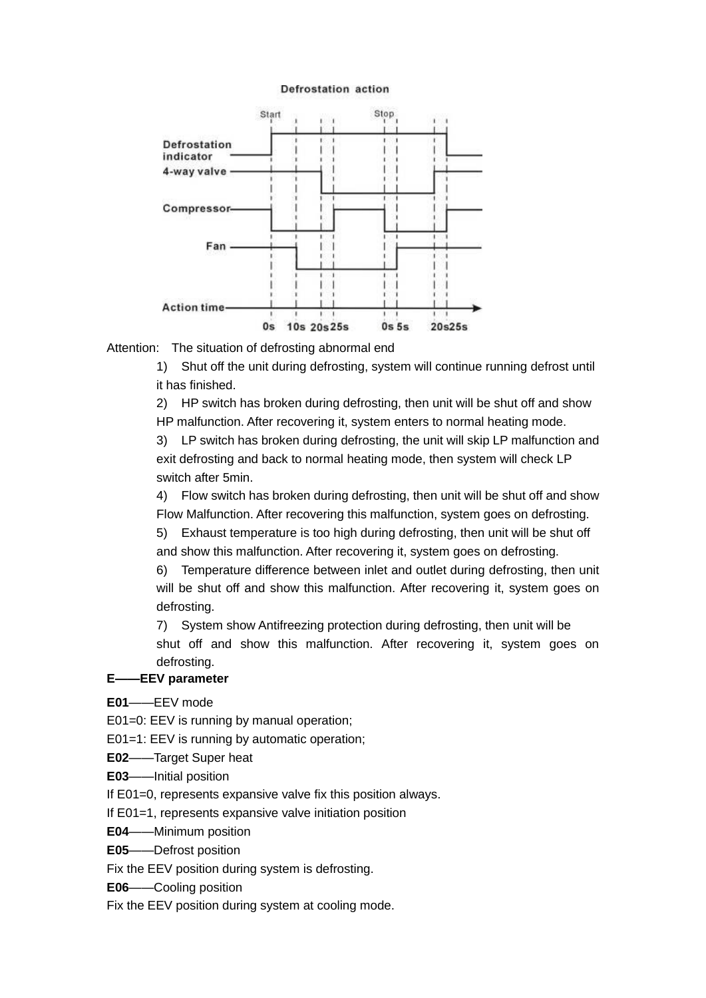#### **Defrostation action**



Attention: The situation of defrosting abnormal end

1) Shut off the unit during defrosting, system will continue running defrost until it has finished.

2) HP switch has broken during defrosting, then unit will be shut off and show HP malfunction. After recovering it, system enters to normal heating mode.

3) LP switch has broken during defrosting, the unit will skip LP malfunction and exit defrosting and back to normal heating mode, then system will check LP switch after 5min.

4) Flow switch has broken during defrosting, then unit will be shut off and show Flow Malfunction. After recovering this malfunction, system goes on defrosting.

5) Exhaust temperature is too high during defrosting, then unit will be shut off and show this malfunction. After recovering it, system goes on defrosting.

6) Temperature difference between inlet and outlet during defrosting, then unit will be shut off and show this malfunction. After recovering it, system goes on defrosting.

7) System show Antifreezing protection during defrosting, then unit will be shut off and show this malfunction. After recovering it, system goes on defrosting.

#### **E——EEV parameter**

**E01**——EEV mode

E01=0: EEV is running by manual operation;

E01=1: EEV is running by automatic operation;

**E02**——Target Super heat

**E03**——Initial position

If E01=0, represents expansive valve fix this position always.

If E01=1, represents expansive valve initiation position

**E04**——Minimum position

**E05**——Defrost position

Fix the EEV position during system is defrosting.

**E06**——Cooling position

Fix the EEV position during system at cooling mode.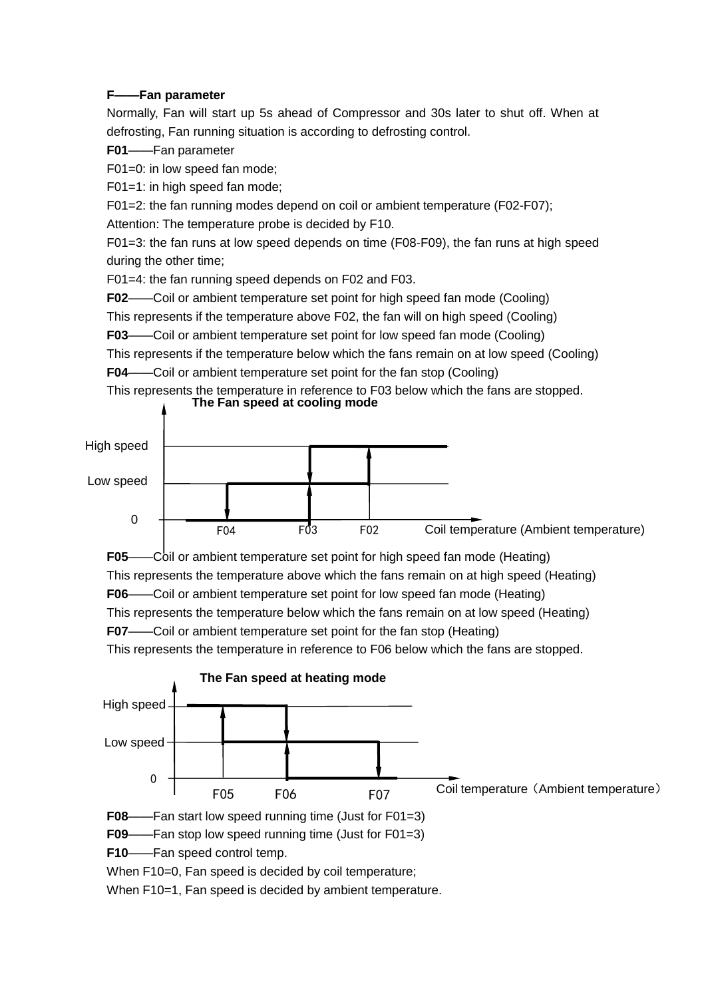#### **F——Fan parameter**

Normally, Fan will start up 5s ahead of Compressor and 30s later to shut off. When at defrosting, Fan running situation is according to defrosting control.

### **F01**——Fan parameter

F01=0: in low speed fan mode;

F01=1: in high speed fan mode;

F01=2: the fan running modes depend on coil or ambient temperature (F02-F07);

Attention: The temperature probe is decided by F10.

F01=3: the fan runs at low speed depends on time (F08-F09), the fan runs at high speed during the other time;

F01=4: the fan running speed depends on F02 and F03.

**F02**——Coil or ambient temperature set point for high speed fan mode (Cooling)

This represents if the temperature above F02, the fan will on high speed (Cooling)

**F03**——Coil or ambient temperature set point for low speed fan mode (Cooling)

This represents if the temperature below which the fans remain on at low speed (Cooling) **F04**——Coil or ambient temperature set point for the fan stop (Cooling)

This represents the temperature in reference to F03 below which the fans are stopped. **The Fan speed at cooling mode**



**F05**——Coil or ambient temperature set point for high speed fan mode (Heating) This represents the temperature above which the fans remain on at high speed (Heating) **F06**——Coil or ambient temperature set point for low speed fan mode (Heating) This represents the temperature below which the fans remain on at low speed (Heating) **F07**——Coil or ambient temperature set point for the fan stop (Heating) This represents the temperature in reference to F06 below which the fans are stopped.



When F10=1, Fan speed is decided by ambient temperature.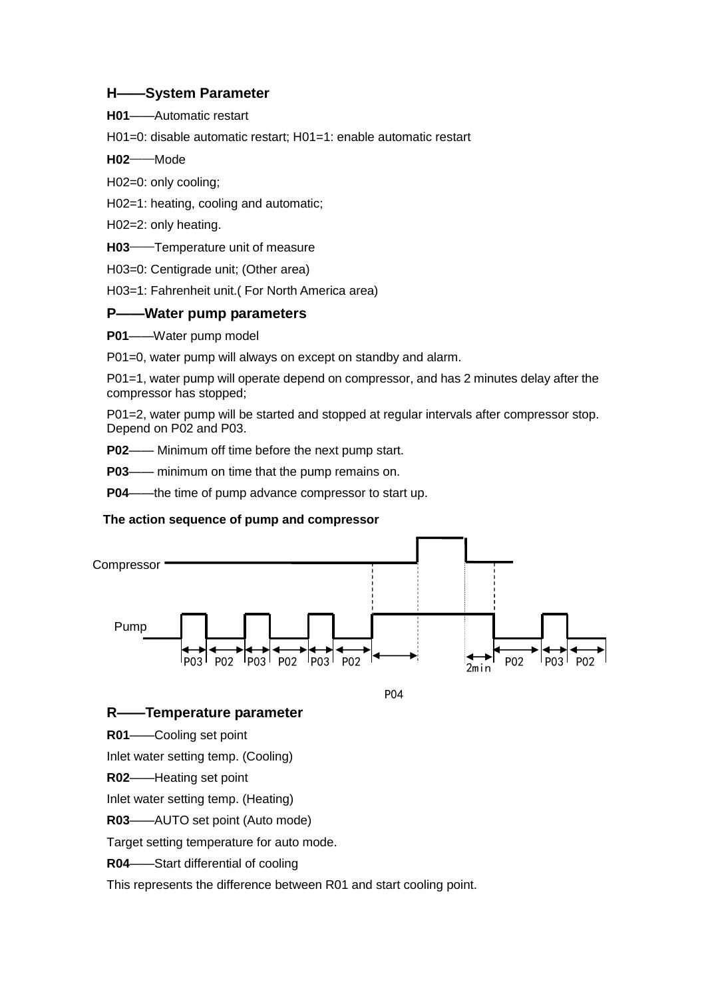### **H——System Parameter**

**H01**——Automatic restart

H01=0: disable automatic restart; H01=1: enable automatic restart

**H02**——Mode

H02=0: only cooling;

H02=1: heating, cooling and automatic;

H02=2: only heating.

**H03**——Temperature unit of measure

H03=0: Centigrade unit; (Other area)

H03=1: Fahrenheit unit.( For North America area)

## **P——Water pump parameters**

**P01**——Water pump model

P01=0, water pump will always on except on standby and alarm.

P01=1, water pump will operate depend on compressor, and has 2 minutes delay after the compressor has stopped;

P01=2, water pump will be started and stopped at regular intervals after compressor stop. Depend on P02 and P03.

**P02**—— Minimum off time before the next pump start.

**P03**—— minimum on time that the pump remains on.

**P04**——the time of pump advance compressor to start up.

## **The action sequence of pump and compressor**



P04

## **R——Temperature parameter**

**R01**——Cooling set point

Inlet water setting temp. (Cooling)

**R02**——Heating set point

Inlet water setting temp. (Heating)

**R03**——AUTO set point (Auto mode)

Target setting temperature for auto mode.

**R04**——Start differential of cooling

This represents the difference between R01 and start cooling point.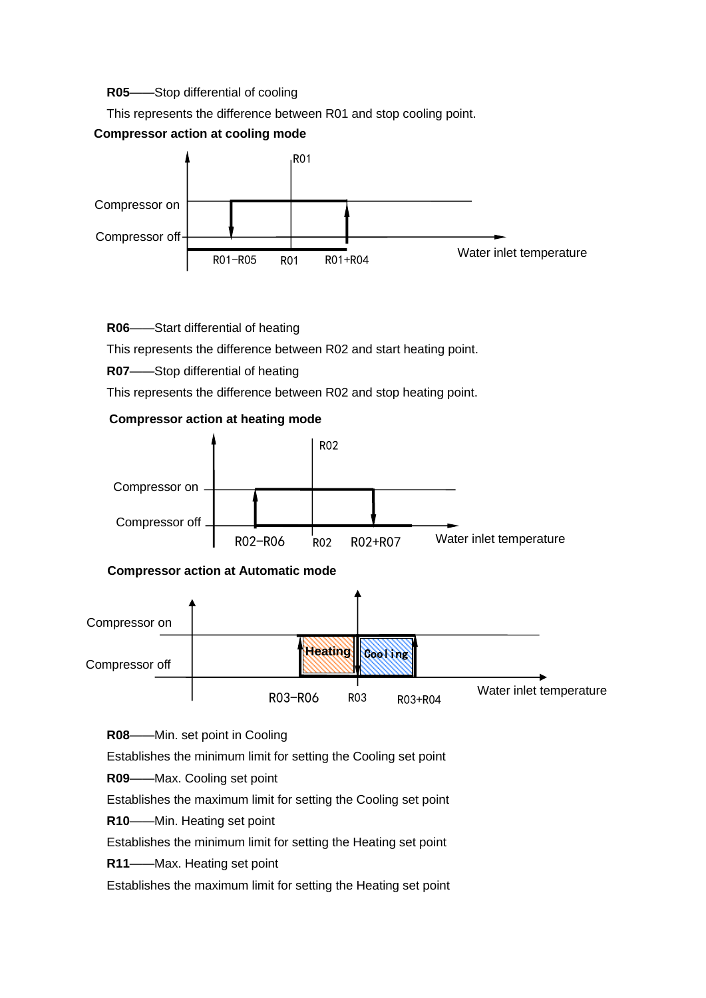#### **R05**——Stop differential of cooling

This represents the difference between R01 and stop cooling point.

### **Compressor action at cooling mode**



#### **R06**——Start differential of heating

This represents the difference between R02 and start heating point.

#### **R07**——Stop differential of heating

This represents the difference between R02 and stop heating point.

#### **Compressor action at heating mode**





**R08**——Min. set point in Cooling

Establishes the minimum limit for setting the Cooling set point

**R09**——Max. Cooling set point

Establishes the maximum limit for setting the Cooling set point

**R10**——Min. Heating set point

Establishes the minimum limit for setting the Heating set point

**R11**——Max. Heating set point

Establishes the maximum limit for setting the Heating set point